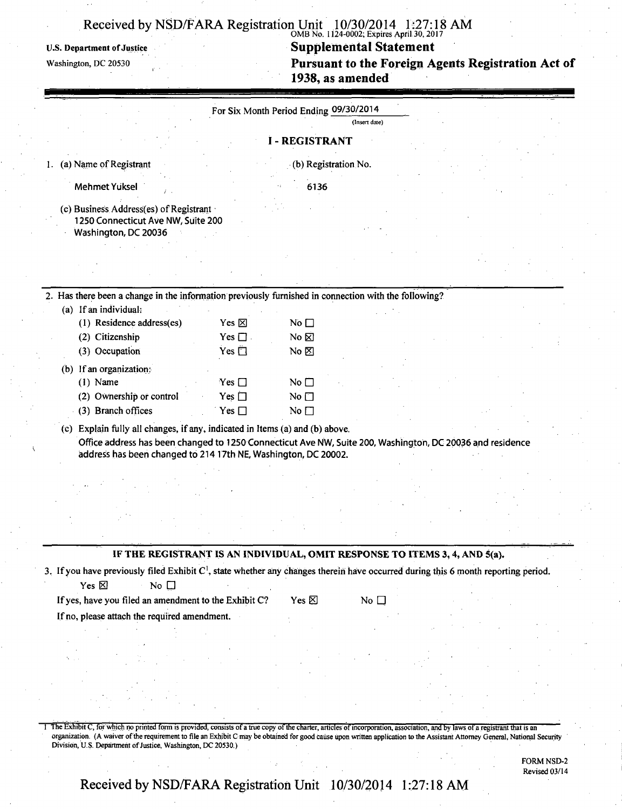### OMB No. 1124-0002; Expires April 30,2017

U.S. Department of Justice Supplemental Statement

**Washington, DC 20530 Pursuant to the Foreign Agents Registration Act of 1938, as amended** 

|                                                                                                                                                                                                                                                             | For Six Month Period Ending 09/30/2014 |               |  |  |
|-------------------------------------------------------------------------------------------------------------------------------------------------------------------------------------------------------------------------------------------------------------|----------------------------------------|---------------|--|--|
|                                                                                                                                                                                                                                                             |                                        | (Insert date) |  |  |
|                                                                                                                                                                                                                                                             | <b>I - REGISTRANT</b>                  |               |  |  |
| (a) Name of Registrant                                                                                                                                                                                                                                      | (b) Registration No.                   |               |  |  |
| <b>Mehmet Yuksel</b>                                                                                                                                                                                                                                        | 6136                                   |               |  |  |
| (c) Business Address(es) of Registrant<br>1250 Connecticut Ave NW, Suite 200<br>Washington, DC 20036                                                                                                                                                        |                                        |               |  |  |
|                                                                                                                                                                                                                                                             |                                        |               |  |  |
| 2. Has there been a change in the information previously furnished in connection with the following?                                                                                                                                                        |                                        |               |  |  |
| (a) If an individual:                                                                                                                                                                                                                                       |                                        |               |  |  |
| (1) Residence address(es)<br>Yes $\boxtimes$                                                                                                                                                                                                                | No $\square$                           |               |  |  |
| (2) Citizenship<br>Yes $\Box$ .                                                                                                                                                                                                                             | No &                                   |               |  |  |
| (3) Occupation<br>Yes $\Box$                                                                                                                                                                                                                                | No $\not\blacksquare$                  |               |  |  |
| (b) If an organization:                                                                                                                                                                                                                                     |                                        |               |  |  |
| $(1)$ Name<br>Yes $\Box$                                                                                                                                                                                                                                    | No $\square$                           |               |  |  |
| (2) Ownership or control<br>Yes $\square$                                                                                                                                                                                                                   | No $\square$                           |               |  |  |
| (3) Branch offices<br>Yes $\square$                                                                                                                                                                                                                         | No $\square$                           |               |  |  |
| (c) Explain fully all changes, if any, indicated in Items (a) and (b) above.<br>Office address has been changed to 1250 Connecticut Ave NW, Suite 200, Washington, DC 20036 and residence<br>address has been changed to 214 17th NE, Washington, DC 20002. |                                        |               |  |  |
|                                                                                                                                                                                                                                                             |                                        |               |  |  |
|                                                                                                                                                                                                                                                             |                                        |               |  |  |
|                                                                                                                                                                                                                                                             |                                        |               |  |  |
|                                                                                                                                                                                                                                                             |                                        |               |  |  |
|                                                                                                                                                                                                                                                             |                                        |               |  |  |
| IF THE REGISTRANT IS AN INDIVIDUAL, OMIT RESPONSE TO ITEMS 3, 4, AND 5(a).                                                                                                                                                                                  |                                        |               |  |  |
| 3. If you have previously filed Exhibit C <sup>1</sup> , state whether any changes therein have occurred during this 6 month reporting period.                                                                                                              |                                        |               |  |  |
| Yes $\boxtimes$<br>No $\square$                                                                                                                                                                                                                             |                                        |               |  |  |
| If yes, have you filed an amendment to the Exhibit C?                                                                                                                                                                                                       | Yes $\boxtimes$                        | No $\square$  |  |  |
| If no, please attach the required amendment.                                                                                                                                                                                                                |                                        |               |  |  |
|                                                                                                                                                                                                                                                             |                                        |               |  |  |
|                                                                                                                                                                                                                                                             |                                        |               |  |  |
|                                                                                                                                                                                                                                                             |                                        |               |  |  |
|                                                                                                                                                                                                                                                             |                                        |               |  |  |
|                                                                                                                                                                                                                                                             |                                        |               |  |  |
|                                                                                                                                                                                                                                                             |                                        |               |  |  |

1 The Exhibit C, for which no printed form is provided, consists of a true copy of the charter, articles of incorporation, association, and by laws of a registrant that is an organization. (A waiver of the requirement to file an Exhibit C may be obtained for good cause upon written application to the Assistant Attorney General, National Security Division, US Department of Justice, Washington, DC 20530.)

> FORM NSD-2 Revised 03/14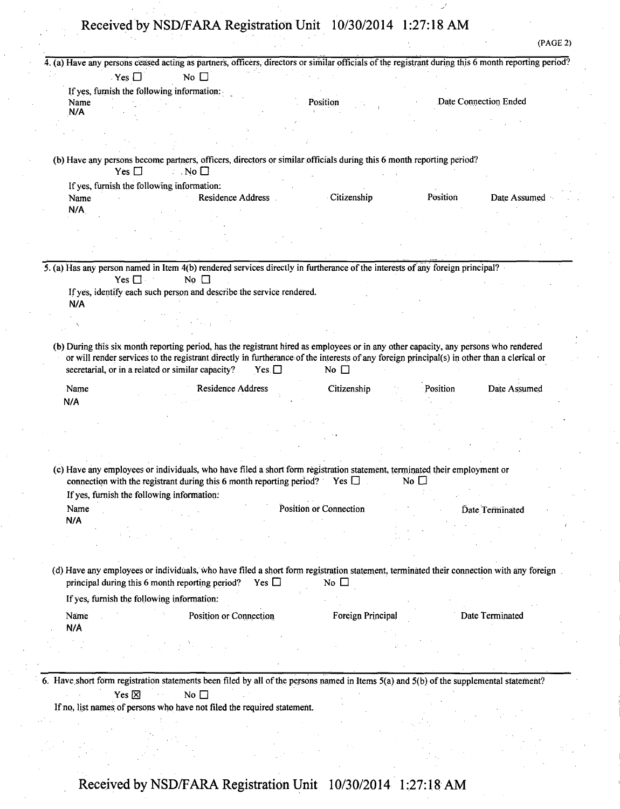| 4. (a) Have any persons ceased acting as partners, officers, directors or similar officials of the registrant during this 6 month reporting period? |                                                                                                                                                                                                                                                                                    |                         |                          |              |                       |  |
|-----------------------------------------------------------------------------------------------------------------------------------------------------|------------------------------------------------------------------------------------------------------------------------------------------------------------------------------------------------------------------------------------------------------------------------------------|-------------------------|--------------------------|--------------|-----------------------|--|
| Yes                                                                                                                                                 | No $\square$                                                                                                                                                                                                                                                                       |                         |                          |              |                       |  |
|                                                                                                                                                     | If yes, furnish the following information:                                                                                                                                                                                                                                         |                         |                          |              |                       |  |
| Name<br>N/A                                                                                                                                         |                                                                                                                                                                                                                                                                                    | Position                |                          |              | Date Connection Ended |  |
|                                                                                                                                                     |                                                                                                                                                                                                                                                                                    |                         |                          |              |                       |  |
|                                                                                                                                                     |                                                                                                                                                                                                                                                                                    |                         |                          |              |                       |  |
| Yes $\Box$                                                                                                                                          | (b) Have any persons become partners, officers, directors or similar officials during this 6 month reporting period?<br>$\therefore$ No $\square$                                                                                                                                  |                         |                          |              |                       |  |
| If yes, furnish the following information:                                                                                                          |                                                                                                                                                                                                                                                                                    |                         |                          |              |                       |  |
| Name                                                                                                                                                | Residence Address                                                                                                                                                                                                                                                                  |                         | Citizenship              | Position     | Date Assumed          |  |
| N/A                                                                                                                                                 |                                                                                                                                                                                                                                                                                    |                         |                          |              |                       |  |
|                                                                                                                                                     |                                                                                                                                                                                                                                                                                    |                         |                          |              |                       |  |
|                                                                                                                                                     |                                                                                                                                                                                                                                                                                    |                         |                          |              |                       |  |
|                                                                                                                                                     |                                                                                                                                                                                                                                                                                    |                         |                          |              |                       |  |
|                                                                                                                                                     | 5. (a) Has any person named in Item 4(b) rendered services directly in furtherance of the interests of any foreign principal?                                                                                                                                                      |                         |                          |              |                       |  |
| Yes $\square$                                                                                                                                       | No $\square$                                                                                                                                                                                                                                                                       |                         |                          |              |                       |  |
|                                                                                                                                                     | If yes, identify each such person and describe the service rendered.                                                                                                                                                                                                               |                         |                          |              |                       |  |
| N/A                                                                                                                                                 |                                                                                                                                                                                                                                                                                    |                         |                          |              |                       |  |
|                                                                                                                                                     |                                                                                                                                                                                                                                                                                    |                         |                          |              |                       |  |
|                                                                                                                                                     |                                                                                                                                                                                                                                                                                    |                         |                          |              |                       |  |
|                                                                                                                                                     | (b) During this six month reporting period, has the registrant hired as employees or in any other capacity, any persons who rendered<br>or will render services to the registrant directly in furtherance of the interests of any foreign principal(s) in other than a clerical or |                         |                          |              |                       |  |
|                                                                                                                                                     | secretarial, or in a related or similar capacity?                                                                                                                                                                                                                                  | Yes $\Box$              | No $\square$             |              |                       |  |
| Name                                                                                                                                                | <b>Residence Address</b>                                                                                                                                                                                                                                                           |                         | Citizenship              | Position     | Date Assumed          |  |
| N/A                                                                                                                                                 |                                                                                                                                                                                                                                                                                    |                         |                          |              |                       |  |
|                                                                                                                                                     |                                                                                                                                                                                                                                                                                    |                         |                          |              |                       |  |
|                                                                                                                                                     |                                                                                                                                                                                                                                                                                    |                         |                          |              |                       |  |
|                                                                                                                                                     |                                                                                                                                                                                                                                                                                    |                         |                          |              |                       |  |
|                                                                                                                                                     | (c) Have any employees or individuals, who have filed a short form registration statement, terminated their employment or                                                                                                                                                          |                         |                          |              |                       |  |
|                                                                                                                                                     | connection with the registrant during this 6 month reporting period? Yes $\square$                                                                                                                                                                                                 |                         |                          | No $\square$ |                       |  |
| If yes, furnish the following information:<br>Name                                                                                                  |                                                                                                                                                                                                                                                                                    | Position or Connection  |                          |              | Date Terminated       |  |
| N/A                                                                                                                                                 |                                                                                                                                                                                                                                                                                    |                         |                          |              |                       |  |
|                                                                                                                                                     |                                                                                                                                                                                                                                                                                    |                         |                          |              |                       |  |
|                                                                                                                                                     |                                                                                                                                                                                                                                                                                    |                         |                          |              |                       |  |
|                                                                                                                                                     | (d) Have any employees or individuals, who have filed a short form registration statement, terminated their connection with any foreign                                                                                                                                            |                         |                          |              |                       |  |
| If yes, furnish the following information:                                                                                                          | principal during this 6 month reporting period?                                                                                                                                                                                                                                    | Yes $\Box$<br>No $\Box$ |                          |              |                       |  |
| Name<br>N/A                                                                                                                                         | Position or Connection                                                                                                                                                                                                                                                             |                         | <b>Foreign Principal</b> |              | Date Terminated       |  |
|                                                                                                                                                     |                                                                                                                                                                                                                                                                                    |                         |                          |              |                       |  |
|                                                                                                                                                     |                                                                                                                                                                                                                                                                                    |                         |                          |              |                       |  |

(PAGE 2)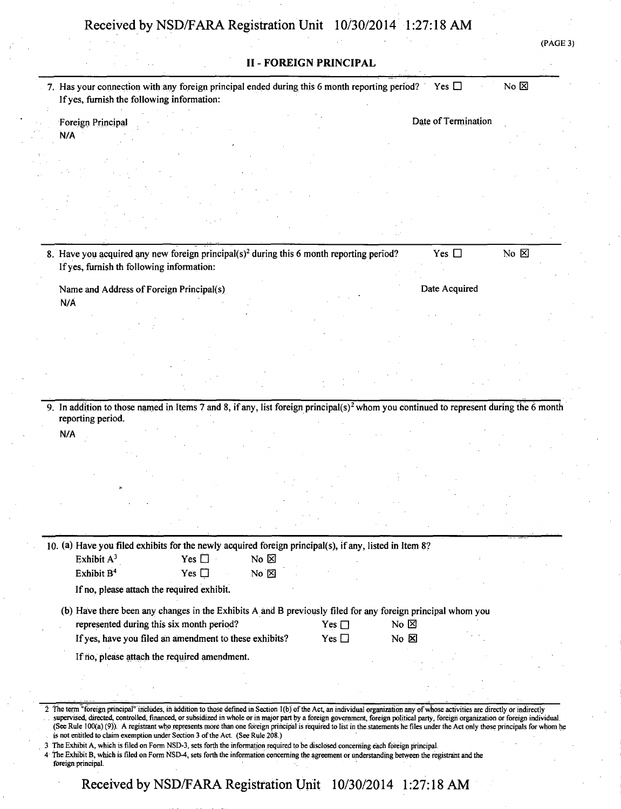|                        | If yes, furnish the following information: | 7. Has your connection with any foreign principal ended during this 6 month reporting period? Yes $\Box$                                          |                                  |               |                  |                     | No $\boxtimes$ |
|------------------------|--------------------------------------------|---------------------------------------------------------------------------------------------------------------------------------------------------|----------------------------------|---------------|------------------|---------------------|----------------|
| Foreign Principal      |                                            |                                                                                                                                                   |                                  |               |                  | Date of Termination |                |
| N/A                    |                                            |                                                                                                                                                   |                                  |               |                  |                     |                |
|                        |                                            |                                                                                                                                                   |                                  |               |                  |                     |                |
|                        |                                            |                                                                                                                                                   |                                  |               |                  |                     |                |
|                        |                                            |                                                                                                                                                   |                                  |               |                  |                     |                |
|                        |                                            |                                                                                                                                                   |                                  |               |                  |                     |                |
|                        |                                            |                                                                                                                                                   |                                  |               |                  |                     |                |
|                        | If yes, furnish th following information:  | 8. Have you acquired any new foreign principal( $s$ ) <sup>2</sup> during this 6 month reporting period?                                          |                                  |               |                  | Yes $\square$       | No $\boxtimes$ |
|                        | Name and Address of Foreign Principal(s)   |                                                                                                                                                   |                                  |               |                  | Date Acquired       |                |
| N/A                    |                                            |                                                                                                                                                   |                                  |               |                  |                     |                |
|                        |                                            |                                                                                                                                                   |                                  |               |                  |                     |                |
|                        |                                            |                                                                                                                                                   |                                  |               |                  |                     |                |
|                        |                                            |                                                                                                                                                   |                                  |               |                  |                     |                |
|                        |                                            |                                                                                                                                                   |                                  |               |                  |                     |                |
|                        |                                            |                                                                                                                                                   |                                  |               |                  |                     |                |
|                        |                                            | 9. In addition to those named in Items 7 and 8, if any, list foreign principal(s) <sup>2</sup> whom you continued to represent during the 6 month |                                  |               |                  |                     |                |
| reporting period.      |                                            |                                                                                                                                                   |                                  |               |                  |                     |                |
| N/A                    |                                            |                                                                                                                                                   |                                  |               |                  |                     |                |
|                        |                                            |                                                                                                                                                   |                                  |               |                  |                     |                |
|                        |                                            |                                                                                                                                                   |                                  |               |                  |                     |                |
|                        |                                            |                                                                                                                                                   |                                  |               |                  |                     |                |
|                        |                                            |                                                                                                                                                   |                                  |               |                  |                     |                |
|                        |                                            |                                                                                                                                                   |                                  |               |                  |                     |                |
|                        |                                            |                                                                                                                                                   |                                  |               |                  |                     |                |
|                        |                                            | 10. (a) Have you filed exhibits for the newly acquired foreign principal(s), if any, listed in Item 8?                                            |                                  |               |                  |                     |                |
|                        |                                            | Yes $\square$<br>Yes $\square$                                                                                                                    | No $\boxtimes$<br>$No \boxtimes$ |               |                  |                     |                |
| Exhibit A <sup>3</sup> | If no, please attach the required exhibit. |                                                                                                                                                   |                                  |               |                  |                     |                |
| Exhibit B <sup>4</sup> |                                            |                                                                                                                                                   |                                  |               |                  |                     |                |
|                        |                                            |                                                                                                                                                   |                                  |               |                  |                     |                |
|                        |                                            | (b) Have there been any changes in the Exhibits A and B previously filed for any foreign principal whom you                                       |                                  |               |                  |                     |                |
|                        |                                            | represented during this six month period?                                                                                                         |                                  | Yes $\square$ | No $\boxtimes$   |                     |                |
|                        |                                            | If yes, have you filed an amendment to these exhibits?                                                                                            |                                  | Yes $\square$ | $No & \boxtimes$ |                     |                |
|                        |                                            | If no, please attach the required amendment.                                                                                                      |                                  |               |                  |                     |                |
|                        |                                            |                                                                                                                                                   |                                  |               |                  |                     |                |

3 The Exhibit A, which is filed on Form NSD-3, sets forth the information required to be disclosed concerning each foreign principal.

4 The Exhibit B, which is filed on Form NSD-4, sets forth the information concerning the agreement or understanding between the registrant and the foreign principal.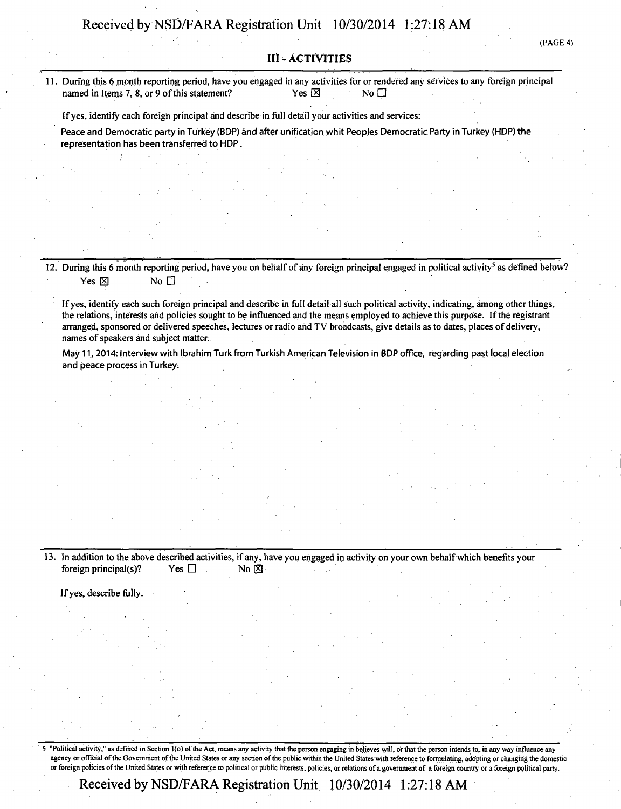**(PAGE 4)** 

#### **III - ACTIVITIES**

**11. During this 6 month reporting period, have you engaged in any activities for or rendered any services to any foreign principal named in Items 7. 8. or 9 of this statement?** Yes  $\boxtimes$  Yes  $\boxtimes$  No  $\Box$ named in Items 7, 8, or 9 of this statement?

**If yes, identify each foreign principal and describe in full detail your activities and services:** 

**Peace and Democratic party in turkey (BDP) and after unification whit Peoples Democratic Party in Turkey (HDP) the representation has been transferred to HDP.** 

**12. During this 6 month reporting period, have you on behalf of any foreign principal engaged in political activity<sup>5</sup> as defined below?**  Yes **M** No **F** 

**If yes, identify each such foreign principal and describe in full detail all such political activity, indicating, among other things, the relations, interests and policies sought to be influenced and the means employed to achieve this purpose. If the registrant arranged, sponsored or delivered speeches, lectures or radio and TV broadcasts, give details as to dates, places of delivery, names of speakers and subject matter.** 

**May 11,2014: Interview with Ibrahim Turk from Turkish American Television in BDP office, regarding past local election and peace process in Turkey.** 

13. In addition to the above described activities, if any, have you engaged in activity on your own behalf which benefits your foreign principal(s)? Yes  $\square$ **foreign principal(s)?** Yes  $\Box$  No  $\boxtimes$ 

If yes, describe fully. 11 - 12 - 12 - 12 - 12 - 12 - 13

"Political activity," as defined in Section 1(o) of the Act, means any activity that the person engaging in believes will, or that the person intends to, in any way influence any agency or official of the Government of the United States or any section of the public within the United States with reference to formulating, adopting or changing the domestic or foreign policies of the United States or with reference to political or public interests, policies, or relations of a government of a foreign country or a foreign political party.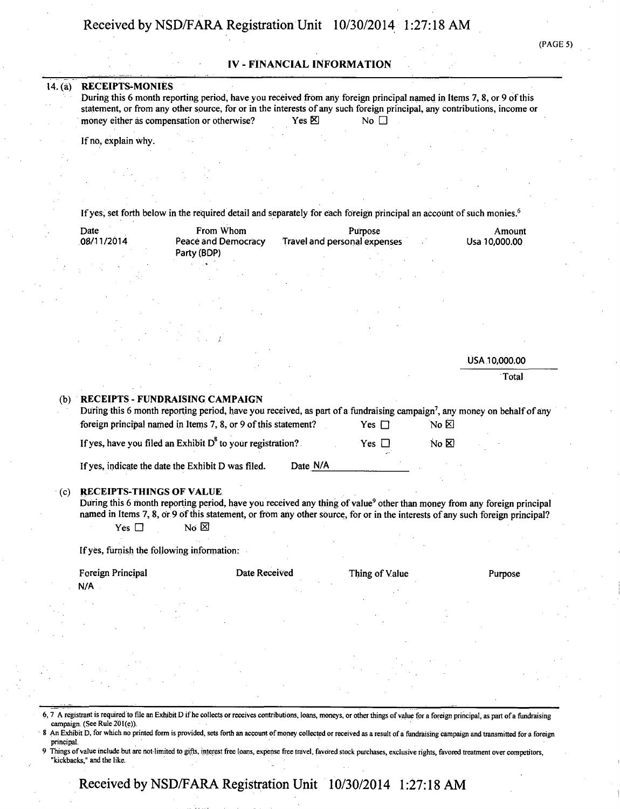#### **IV - FINANCIAL INFORMATION**

#### **14. (a) RECEIPTS-MONIES**

**During this 6 month reporting period, have you received from any foreign principal named in Items 7, 8, or 9 of this statement, or from any other source, for or in the interests of any such foreign principal, any contributions, income or**<br> **SOLITY FORTS** No D **money either as compensation or otherwise?** Yes  $\boxtimes$  No  $\Box$ 

**If no, explain why.** 

**If yes, set forth below in the required detail and separately for each foreign principal an account of such monies.<sup>6</sup>**

| Date<br>08/11/2014 |  | From Whom<br>Peace and Democracy | Amount<br>Usa 10,000.00      |  |
|--------------------|--|----------------------------------|------------------------------|--|
|                    |  | Party (BDP)                      | Travel and personal expenses |  |
|                    |  |                                  |                              |  |

|     |                                 |                                                                                                                                                                                                        |            |      | USA 10,000.00 |
|-----|---------------------------------|--------------------------------------------------------------------------------------------------------------------------------------------------------------------------------------------------------|------------|------|---------------|
|     |                                 |                                                                                                                                                                                                        |            |      | Total         |
| (b) | RECEIPTS - FUNDRAISING CAMPAIGN | During this 6 month reporting period, have you received, as part of a fundraising campaign <sup>7</sup> , any money on behalf of any<br>foreign principal named in Items 7, 8, or 9 of this statement? | Yes $\Box$ | No ⊠ |               |

**If yes, have you filed an Exhibit D** to your registration? Yes  $\Box$  No **El** 

**If yes, indicate the date the Exhibit D was filed. Date N/A** 

#### **•(c) RECEIPTS-THINGS OF VALUE**

During this 6 month reporting period, have you received any thing of value<sup>9</sup> other than money from any foreign principal **named in Items 7, 8, or 9 of this statement, or from any other source, for or in the interests of any such foreign principal?**<br><sup>2</sup> Yes □ No ⊠ Yes  $\square$ 

**If yes, furnish the following information:** 

Foreign Principal **Figure 2.1 Constructs** Date Received Thing of Value Purpose

N/A

- 6,7 A registrant is required to file an Exhibit D if he collects or receives contributions, loans, moneys, or other things of value for a foreign principal, as part ofa fundraising campaign. (See Rule 201(e)).
- An Exhibit D, for which no printed form is provided, sets forth an account of money collected or received as a result of a fundraising campaign and transmitted for a foreign principal.
- Things of value include but are not limited to gifts, interest free loans, expense free travel, favored stock purchases, exclusive rights, favored treatment over competitors, "kickbacks," and the like.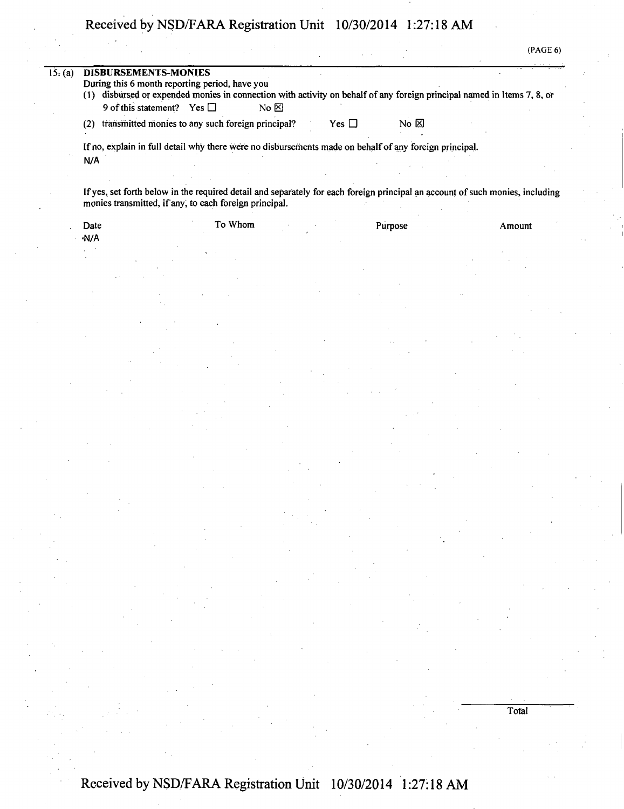| (PAGE 6) |  |
|----------|--|
|----------|--|

Total

| 15: (a) | <b>DISBURSEMENTS-MONIES</b><br>During this 6 month reporting period, have you<br>disbursed or expended monies in connection with activity on behalf of any foreign principal named in Items 7, 8, or<br>(1)<br>9 of this statement?<br>Yes $\Box$<br>No $\boxtimes$ |
|---------|---------------------------------------------------------------------------------------------------------------------------------------------------------------------------------------------------------------------------------------------------------------------|
|         | transmitted monies to any such foreign principal?<br>No $\boxtimes$<br>Yes $\Box$<br>(2)                                                                                                                                                                            |
|         | If no, explain in full detail why there were no disbursements made on behalf of any foreign principal.<br>N/A                                                                                                                                                       |
|         |                                                                                                                                                                                                                                                                     |
|         | If yes, set forth below in the required detail and separately for each foreign principal an account of such monies, including<br>monies transmitted, if any, to each foreign principal.                                                                             |

| Date | To Whom |  | Purpose | Amount |
|------|---------|--|---------|--------|
| ·N/A |         |  |         |        |
|      |         |  |         |        |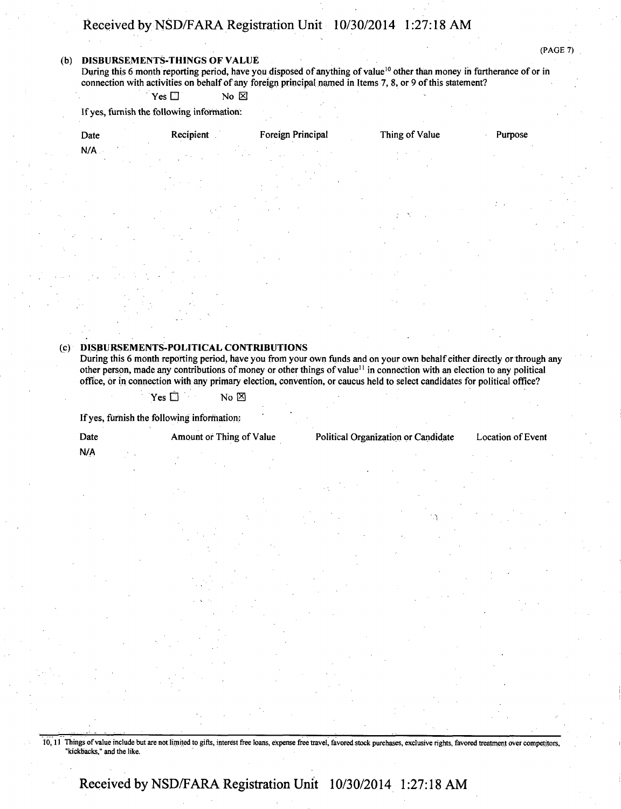#### **(b) DISBURSEMENTS-THINGS OF VALUE**

During this 6 month reporting period, have you disposed of anything of value<sup>10</sup> other than money in furtherance of or in connection with activities on behalf of any foreign principal named in Items 7, 8, or 9 of this statement?

 $Yes \Box$  No  $\boxtimes$ 

If yes, furnish the following information:

| Date | Recipient | Foreign Principal | Thing of Value | Purpose |
|------|-----------|-------------------|----------------|---------|
| N/A  |           |                   |                |         |
|      |           |                   |                |         |

#### **(c) DISBURSEMENTS-POLITICAL CONTRIBUTIONS**

During this 6 month reporting period, have you from your own funds and on your own behalf either directly or through any other person, made any contributions of money or other things of value<sup>11</sup> in connection with an election to any political office, or in connection with any primary election, convention, or caucus held to select candidates for political office?

 $\mathsf{Yes} \ \Box \qquad \qquad \mathsf{No} \ \boxtimes$ 

If yes, furnish the following information:

Date Amount of Thing of Value Political Organization or Candidate Location of Event

**N/A** 

10,11 Things of value include but are not limited to gifts, interest free loans, expense free travel, favored stock purchases, exclusive rights, favored treatment over competitors, "kickbacks," and the like.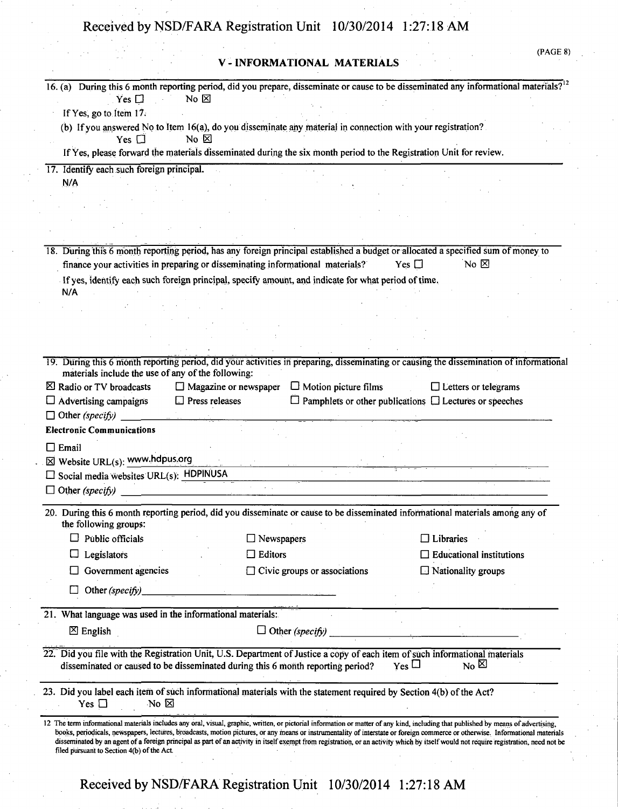V -INFORMATIONAL MATERIALS

(PAGE 8)

| $No & \boxtimes$<br>Yes $\square$                                              |                                                                                                                                                                                                                | 16. (a) During this 6 month reporting period, did you prepare, disseminate or cause to be disseminated any informational materials? <sup>12</sup>                                                                                                                                                                                                                       |
|--------------------------------------------------------------------------------|----------------------------------------------------------------------------------------------------------------------------------------------------------------------------------------------------------------|-------------------------------------------------------------------------------------------------------------------------------------------------------------------------------------------------------------------------------------------------------------------------------------------------------------------------------------------------------------------------|
| If Yes, go to Item 17.                                                         |                                                                                                                                                                                                                |                                                                                                                                                                                                                                                                                                                                                                         |
| No $\not\boxtimes$<br>Yes $\Box$                                               | (b) If you answered No to Item 16(a), do you disseminate any material in connection with your registration?                                                                                                    |                                                                                                                                                                                                                                                                                                                                                                         |
|                                                                                | If Yes, please forward the materials disseminated during the six month period to the Registration Unit for review.                                                                                             |                                                                                                                                                                                                                                                                                                                                                                         |
| 17. Identify each such foreign principal.                                      |                                                                                                                                                                                                                |                                                                                                                                                                                                                                                                                                                                                                         |
| N/A                                                                            |                                                                                                                                                                                                                |                                                                                                                                                                                                                                                                                                                                                                         |
|                                                                                |                                                                                                                                                                                                                |                                                                                                                                                                                                                                                                                                                                                                         |
|                                                                                |                                                                                                                                                                                                                |                                                                                                                                                                                                                                                                                                                                                                         |
|                                                                                |                                                                                                                                                                                                                |                                                                                                                                                                                                                                                                                                                                                                         |
|                                                                                | 18. During this 6 month reporting period, has any foreign principal established a budget or allocated a specified sum of money to                                                                              |                                                                                                                                                                                                                                                                                                                                                                         |
| finance your activities in preparing or disseminating informational materials? |                                                                                                                                                                                                                | No $\boxtimes$<br>Yes $\Box$                                                                                                                                                                                                                                                                                                                                            |
|                                                                                | If yes, identify each such foreign principal, specify amount, and indicate for what period of time.                                                                                                            |                                                                                                                                                                                                                                                                                                                                                                         |
| N/A                                                                            |                                                                                                                                                                                                                |                                                                                                                                                                                                                                                                                                                                                                         |
|                                                                                |                                                                                                                                                                                                                |                                                                                                                                                                                                                                                                                                                                                                         |
|                                                                                |                                                                                                                                                                                                                |                                                                                                                                                                                                                                                                                                                                                                         |
|                                                                                |                                                                                                                                                                                                                |                                                                                                                                                                                                                                                                                                                                                                         |
|                                                                                |                                                                                                                                                                                                                |                                                                                                                                                                                                                                                                                                                                                                         |
| materials include the use of any of the following:                             |                                                                                                                                                                                                                | 19. During this 6 month reporting period, did your activities in preparing, disseminating or causing the dissemination of informational                                                                                                                                                                                                                                 |
| ⊠ Radio or TV broadcasts                                                       | $\Box$ Magazine or newspaper $\Box$ Motion picture films                                                                                                                                                       | $\Box$ Letters or telegrams                                                                                                                                                                                                                                                                                                                                             |
| $\Box$ Press releases<br>$\Box$ Advertising campaigns                          |                                                                                                                                                                                                                | $\Box$ Pamphlets or other publications $\Box$ Lectures or speeches                                                                                                                                                                                                                                                                                                      |
| $\Box$ Other (specify)                                                         |                                                                                                                                                                                                                |                                                                                                                                                                                                                                                                                                                                                                         |
| <b>Electronic Communications</b>                                               |                                                                                                                                                                                                                |                                                                                                                                                                                                                                                                                                                                                                         |
|                                                                                |                                                                                                                                                                                                                |                                                                                                                                                                                                                                                                                                                                                                         |
| $\Box$ Email                                                                   |                                                                                                                                                                                                                |                                                                                                                                                                                                                                                                                                                                                                         |
| $\boxtimes$ Website URL(s): www.hdpus.org                                      |                                                                                                                                                                                                                |                                                                                                                                                                                                                                                                                                                                                                         |
| $\square$ Social media websites URL(s): HDPINUSA                               |                                                                                                                                                                                                                |                                                                                                                                                                                                                                                                                                                                                                         |
| $\Box$ Other (specify)                                                         |                                                                                                                                                                                                                |                                                                                                                                                                                                                                                                                                                                                                         |
| the following groups:                                                          | 20. During this 6 month reporting period, did you disseminate or cause to be disseminated informational materials among any of                                                                                 |                                                                                                                                                                                                                                                                                                                                                                         |
| Public officials                                                               | $\Box$ Newspapers                                                                                                                                                                                              | $\square$ Libraries                                                                                                                                                                                                                                                                                                                                                     |
| Legislators                                                                    | $\Box$ Editors                                                                                                                                                                                                 | <b>Educational institutions</b>                                                                                                                                                                                                                                                                                                                                         |
| Government agencies                                                            |                                                                                                                                                                                                                |                                                                                                                                                                                                                                                                                                                                                                         |
|                                                                                | $\Box$ Civic groups or associations                                                                                                                                                                            | $\Box$ Nationality groups                                                                                                                                                                                                                                                                                                                                               |
| Other (specify)_                                                               |                                                                                                                                                                                                                |                                                                                                                                                                                                                                                                                                                                                                         |
| 21. What language was used in the informational materials:                     |                                                                                                                                                                                                                |                                                                                                                                                                                                                                                                                                                                                                         |
| $\boxtimes$ English                                                            | $\Box$ Other (specify)                                                                                                                                                                                         |                                                                                                                                                                                                                                                                                                                                                                         |
|                                                                                | 22. Did you file with the Registration Unit, U.S. Department of Justice a copy of each item of such informational materials<br>disseminated or caused to be disseminated during this 6 month reporting period? | $_{\rm No}$ $\boxtimes$<br>$Y_{es}$                                                                                                                                                                                                                                                                                                                                     |
| No ⊠<br>Yes $\Box$                                                             | 23. Did you label each item of such informational materials with the statement required by Section 4(b) of the Act?                                                                                            |                                                                                                                                                                                                                                                                                                                                                                         |
| filed pursuant to Section 4(b) of the Act.                                     | 12 The term informational materials includes any oral, visual, graphic, written, or pictorial information or matter of any kind, including that published by means of advertising,                             | books, periodicals, newspapers, lectures, broadcasts, motion pictures, or any means or instrumentality of interstate or foreign commerce or otherwise. Informational materials<br>disseminated by an agent of a foreign principal as part of an activity in itself exempt from registration, or an activity which by itself would not require registration, need not be |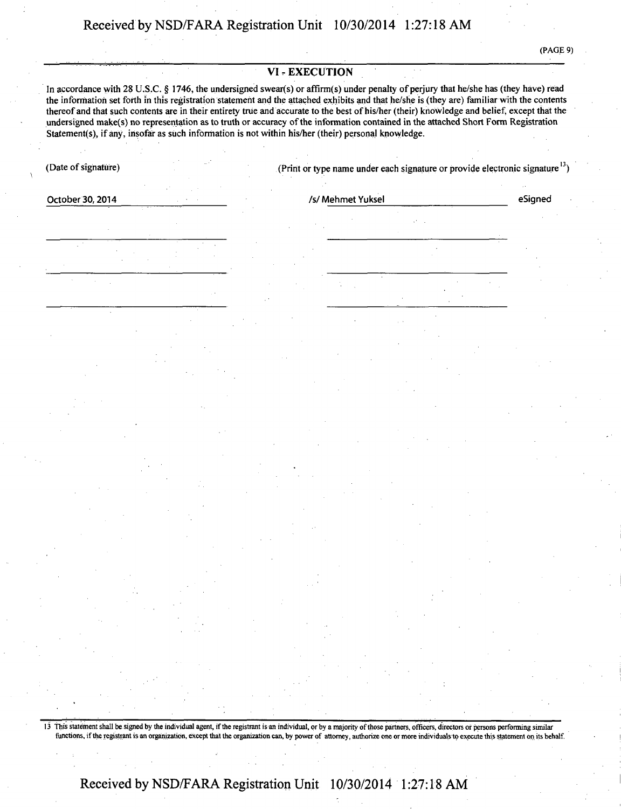#### **VI - EXECUTION**

In accordance with 28 U.S.C. § 1746, the undersigned swear(s) or affirm(s) under penalty of perjury that he/she has (they have) read **the information set forth in this registration statement and the attached exhibits and that he/she is (they are) familiar with the contents**  thereof and that such contents are in their entirety true and accurate to the best of his/her (their) knowledge and belief, except that the undersigned make(s) no representation as to truth or accuracy of the information contained in the attached Short Form Registration Statement(s), if any, insofar as such information is not within his/her (their) personal knowledge.

**(Date of signature) (Print or type name under each signature or provide electronic signature13)** 

**October 30,2014 • • • Isl Mehmet Yuksel eSigned** 

13 This statement shall be signed by the individual agent, if the registrant is an individual, or by a majority of those partners, officers, directors or persons performing similar functions, if the registrant is an organization, except that the organization can, by power of attorney, authorize one or more individuals to execute this statement on its behalf.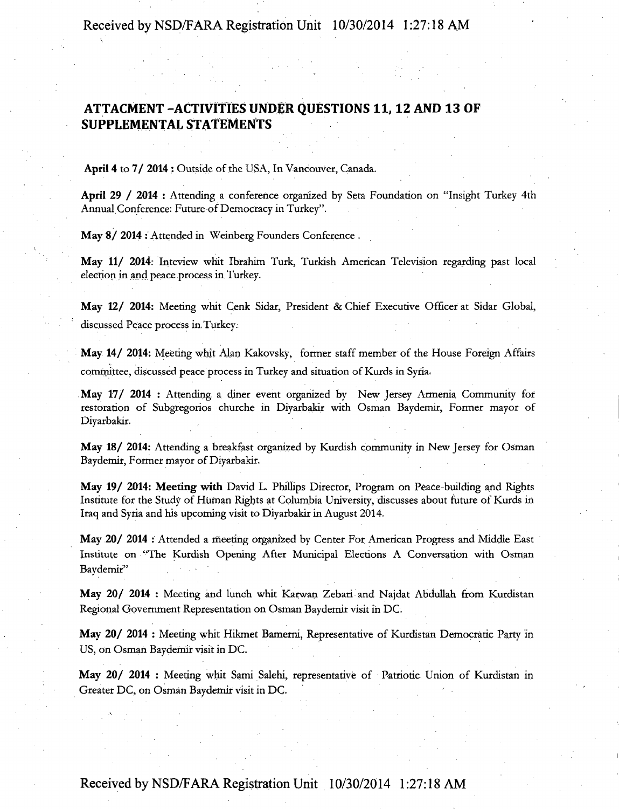### **ATTACMENT -ACTIVITIES UNDER QUESTIONS 11,12 AND 13 OF SUPPLEMENTAL STATEMENTS**

April 4 to 7/ 2014 : Outside of the USA, In Vancouver, Canada.

s

April 29 / 2014 : Attending a conference organized by Seta Foundation on "Insight Turkey 4th Annual Conference: Future of Democracy in Turkey".

May 8/ 2014 : Attended in Weinberg Founders Conference .

May 11/ 2014: Inteview whit Ibrahim Turk, Turkish American Television regarding past local election in and peace process in Turkey.

May 12/ 2014: Meeting whit Cenk Sidar, President & Chief Executive Officer at Sidar Global, discussed Peace process in, Turkey.

May 14/ 2014: Meeting whit Alan Kakovsky, former staff member of the House Foreign Affairs committee, discussed peace process in Turkey and situation of Kurds in Syria.

May 17/ 2014 : Attending a diner event organized by New Jersey Armenia Community for restoration of Subgregorios churche in Diyarbakir with Osman Baydemir, Former mayor of Diyarbakir.

May 18/ 2014: Attending a breakfast organized by Kurdish community in New Jersey for Osman Baydemir, Former mayor of Diyarbakir.

May 19/ 2014: Meeting with David L. Phillips Director, Program on Peace-building and Rights Institute for the Study of Human Rights at Columbia University, discusses about future of Kurds in Iraq and Syria and his upcoming visit to Diyarbakir in August 2014.

May 20/ 2014 : Attended a meeting organized by Center For American Progress and Middle East Institute on "The Kurdish Opening After Municipal Elections A Conversation with Osman Baydemir"

May 20/ 2014 : Meeting and lunch whit Karwan Zebari and Najdat Abdullah from Kurdistan Regional Government Representation on Osman Baydemir visit in DC.

May 20/ 2014 : Meeting whit Hikmet Bamerni, Representative of Kurdistan Democratic Party in US, on Osman Baydemir visit in DC.

May 20/ 2014 : Meeting whit Sami Salehi, representative of Patriotic Union of Kurdistan in Greater DC, on Osman Baydemir visit in DC.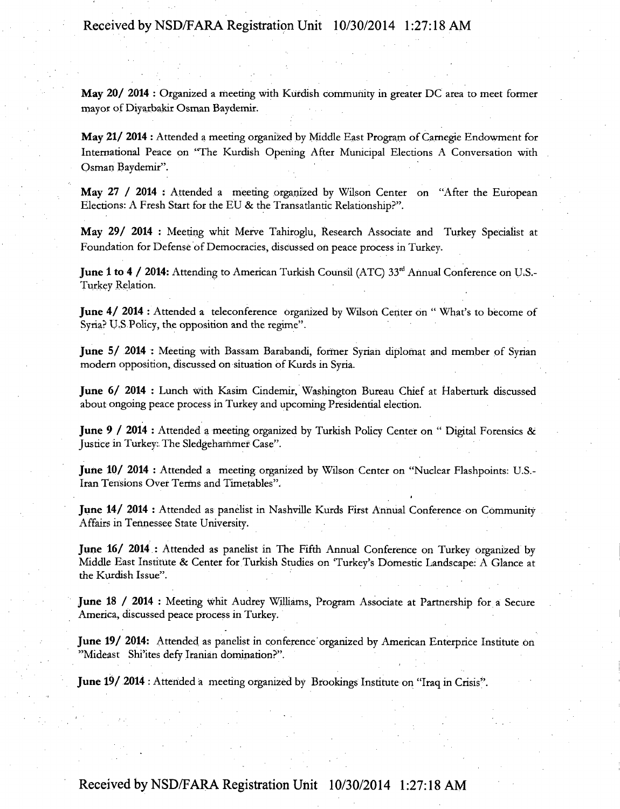May 20/ 2014 : Organized a meeting with Kurdish community in greater DC area to meet former mayor of Diyarbakir Osman Baydemir.

May 21/ 2014 : Attended a meeting organized by Middle East Program of Carnegie Endowment for International Peace on "The Kurdish Opening After Municipal Elections A Conversation with Osman Baydemir".

May 27 / 2014 : Attended a meeting organized by Wilson Center on "After the European Elections: A Fresh Start for the EU & the Transatlantic Relationship?".

May 29/ 2014 : Meeting whit Merve Tahiroglu, Research Associate and Turkey Specialist at Foundation for Defense of Democracies, discussed on peace process in Turkey.

June 1 to 4 / 2014: Attending to American Turkish Counsil (ATC) 33<sup>rd</sup> Annual Conference on U.S.-Turkey Relation.

June 4/2014 : Attended a teleconference organized by Wilson Center on "What's to become of Syria? U.S Policy, the opposition and the regime".

June 5/ 2014 : Meeting with Bassam Barabandi, former Syrian diplomat and member of Syrian modern opposition, discussed on situation of Kurds in Syria.

June 6/ 2014 : Lunch with Kasim Cindemir, Washington Bureau Chief at Haberturk discussed about ongoing peace process in Turkey and upcoming Presidential election.

June 9 / 2014 : Attended a meeting organized by Turkish Policy Center on " Digital Forensics & Justice in Turkey: The Sledgehammer Case".

June 10/ 2014 : Attended a meeting organized by Wilson Center on "Nuclear Flashpoints: U.S.- Iran Tensions Over Terms and Timetables".

June 14/ 2014 : Attended as panelist in Nashville Kurds First Annual Conference on Community Affairs in Tennessee State University.

June 16/ 2014 : Attended as panelist in The Fifth Annual Conference on Turkey organized by Middle East Institute & Center for Turkish Studies on 'Turkey's Domestic Landscape: A Glance at the Kurdish Issue".

June 18 / 2014 : Meeting whit Audrey Williams, Program Associate at Partnership for a Secure America, discussed peace process in Turkey.

June 19/ 2014: Attended as panelist in conference organized by American Enterprice Institute on "Mideast Shi'ites defy Iranian domination?".

June 19/ 2014 : Attended a meeting organized by Brookings Institute on "Iraq in Crisis".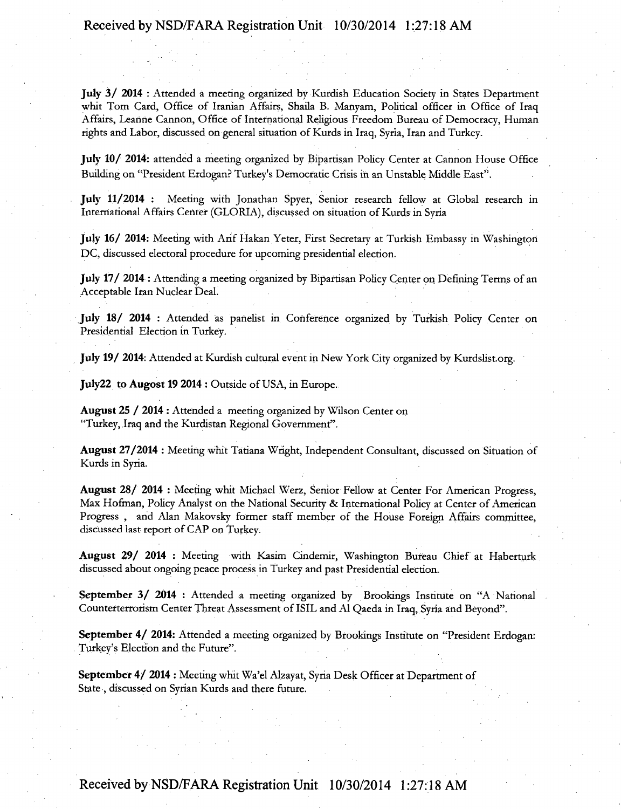July 3/ 2014 : Attended a meeting organized by Kurdish Education Society in States Department whit Tom Card, Office of Iranian Affairs, Shaila B. Manyam, Political officer in Office of Iraq Affairs, Leanne Cannon, Office of International Religious Freedom Bureau of Democracy, Human rights and Labor, discussed on general situation of Kurds in Iraq, Syria, Iran and Turkey.

July 10/ 2014: attended a meeting organized by Bipartisan Policy Center at Cannon House Office Building on "President Erdogan? Turkey's Democratic Crisis in an Unstable Middle East".

July 11/2014 : Meeting with Jonathan Spyer, Senior research fellow at Global research in International Affairs Center (GLORIA), discussed on situation of Kurds in Syria

July 16/ 2014: Meeting with Arif Hakan Yeter, First Secretary at Turkish Embassy in Washington DC, discussed electoral procedure for upcoming presidential election.

July 17/ 2014 : Attending a meeting organized by Bipartisan Policy Center on Defining Terms of an Acceptable Iran Nuclear Deal.

July 18/ 2014 : Attended as panelist in Conference organized by Turkish Policy Center on Presidential Election in Turkey.

July 19/ 2014: Attended at Kurdish cultural event in New York City organized by Kurdslist.org.

July22 to Augost 19 2014 : Outside of USA, in Europe.

August 25 / 2014 : Attended a meeting organized by Wilson Center on "Turkey, Iraq and the Kurdistan Regional Government".

August 27/2014 : Meeting whit Tatiana Wright, Independent Consultant, discussed on Situation of Kurds in Syria.

August 28/ 2014 : Meeting whit Michael Werz, Senior Fellow at Center For American Progress, Max Hofman, Policy Analyst on the National Security & International Policy at Center of American Progress , and Alan Makovsky former staff member of the House Foreign Affairs committee, discussed last report of CAP on Turkey.

August 29/ 2014 : Meeting with Kasim Cindemir, Washington Bureau Chief at Haberturk discussed about ongoing peace process in Turkey and past Presidential election.

September 3/ 2014 : Attended a meeting organized by Brookings Institute on "A National Counterterrorism Center Threat Assessment of ISIL and Al Qaeda in Iraq, Syria and Beyond".

September 4/ 2014: Attended a meeting organized by Brookings Institute on "President Erdogan: Turkey's Election and the Future".

September 4/ 2014 : Meeting whit Wa'el Alzayat, Syria Desk Officer at Department of State , discussed on Syrian Kurds and there future.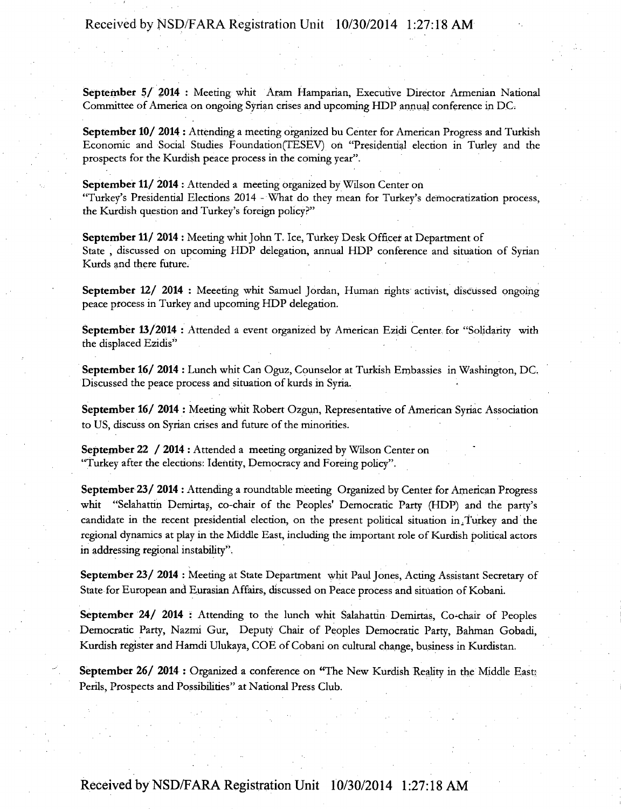September 5/ 2014 : Meeting whit Aram Hamparian, Executive Director Armenian National Committee of America on ongoing Syrian crises and upcoming HDP annual conference in DC.

September 10/ 2014 : Attending a meeting organized bu Center for American Progress and Turkish Economic and Social Studies Foundation(TESEV) on "Presidential election in Turley and the prospects for the Kurdish peace process in the coming year".

September 11/ 2014 : Attended a meeting organized by Wilson Center on "Turkey's Presidential Elections 2014 - What do they mean for Turkey's democratization process, the Kurdish question and Turkey's foreign policy?"

September 11/ 2014 : Meeting whit John T. Ice, Turkey Desk Officer at Department of State , discussed on upcoming HDP delegation, annual HDP conference and situation of Syrian Kurds and there future.

September 12/ 2014 : Meeeting whit Samuel Jordan, Human rights activist, discussed ongoing peace process in Turkey and upcoming HDP delegation.

September 13/2014 : Attended a event organized by American Ezidi Center for "Solidarity with the displaced Ezidis"

September 16/ 2014 : Lunch whit Can Oguz, Counselor at Turkish Embassies in Washington, DC. Discussed the peace process and situation of kurds in Syria.

September 16/ 2014 : Meeting whit Robert Ozgun, Representative of American Syriac Association to US, discuss on Syrian crises and future of the minorities.

September 22 / 2014 : Attended a meeting organized by Wilson Center on "Turkey after the elections: Identity, Democracy and Foreing policy".

September 23/ 2014 : Attending a roundtable meeting Organized by Center for American Progress whit "Selahattin Demirtas, co-chair of the Peoples' Democratic Party (HDP) and the party's candidate in the recent presidential election, on the present political situation in.Turkey and the regional dynamics at play in the Middle East, including the important role of Kurdish political actors in addressing regional instability".

September 23/ 2014 : Meeting at State Department whit Paul Jones, Acting Assistant Secretary of State for European and Eurasian Affairs, discussed on Peace process and situation of Kobani.

September 24/ 2014 : Attending to the lunch whit Salahattin Demirtas, Co-chair of Peoples Democratic Party, Nazmi Gur, Deputy Chair of Peoples Democratic Party, Bahman Gobadi, Kurdish register and Hamdi Ulukaya, COE of Cobani on cultural change, business in Kurdistan.

September 26/ 2014 : Organized a conference on "The New Kurdish Reality in the Middle East: Perils, Prospects and Possibilities" at National Press Club.